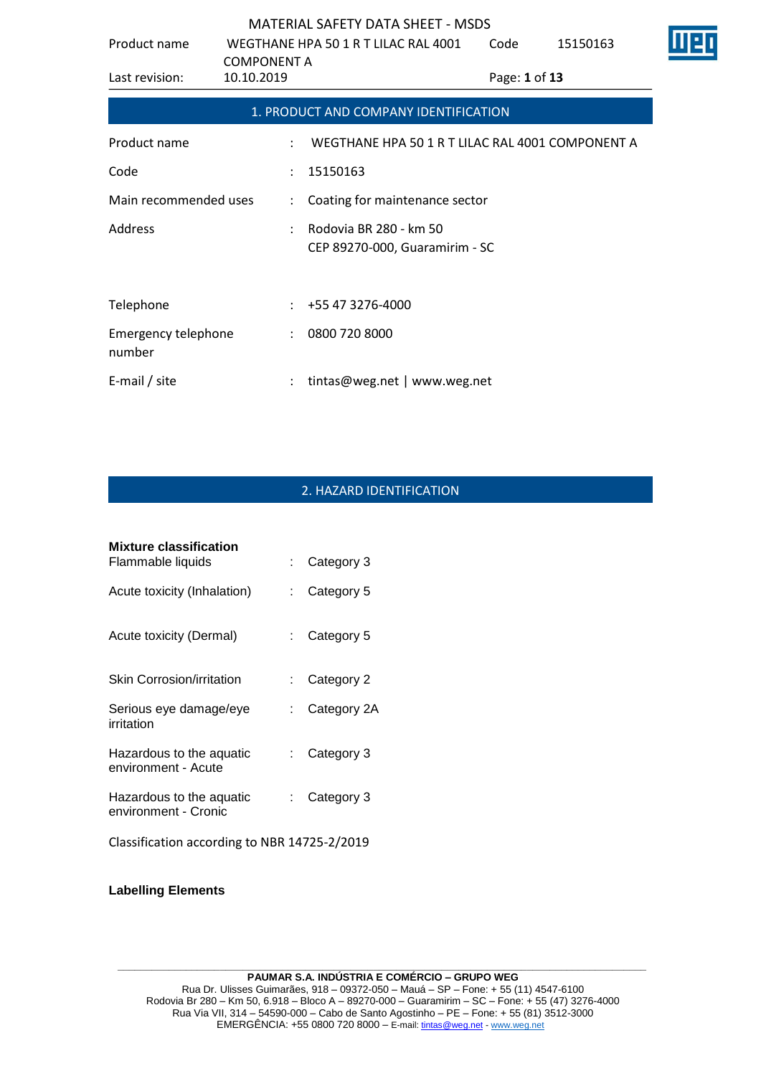| Product name                         | WEGTHANE HPA 50 1 R T LILAC RAL 4001 |                                                          | Code          | 15150163 | Ш |
|--------------------------------------|--------------------------------------|----------------------------------------------------------|---------------|----------|---|
| Last revision:                       | <b>COMPONENT A</b><br>10.10.2019     |                                                          | Page: 1 of 13 |          |   |
|                                      |                                      | 1. PRODUCT AND COMPANY IDENTIFICATION                    |               |          |   |
| Product name                         | ÷                                    | WEGTHANE HPA 50 1 R T LILAC RAL 4001 COMPONENT A         |               |          |   |
| Code                                 | $\ddot{\phantom{a}}$                 | 15150163                                                 |               |          |   |
| Main recommended uses                | $\mathbb{Z}^{\mathbb{Z}}$            | Coating for maintenance sector                           |               |          |   |
| <b>Address</b>                       |                                      | Rodovia BR 280 - km 50<br>CEP 89270-000, Guaramirim - SC |               |          |   |
| Telephone                            |                                      | +55 47 3276-4000                                         |               |          |   |
|                                      |                                      |                                                          |               |          |   |
| <b>Emergency telephone</b><br>number | $\ddot{\phantom{a}}$                 | 0800 720 8000                                            |               |          |   |
| E-mail / site                        |                                      | tintas@weg.net   www.weg.net                             |               |          |   |

# 2. HAZARD IDENTIFICATION

| Mixture classification                           |                           |             |
|--------------------------------------------------|---------------------------|-------------|
| Flammable liquids                                | t.                        | Category 3  |
| Acute toxicity (Inhalation)                      | t.                        | Category 5  |
| Acute toxicity (Dermal)                          | t.                        | Category 5  |
| Skin Corrosion/irritation                        | t.                        | Category 2  |
| Serious eye damage/eye<br>irritation             | t.                        | Category 2A |
| Hazardous to the aquatic<br>environment - Acute  | $\mathbb{R}^{\mathbb{Z}}$ | Category 3  |
| Hazardous to the aquatic<br>environment - Cronic | t.                        | Category 3  |
| Classification according to NBR 14725-2/2019     |                           |             |

**Labelling Elements**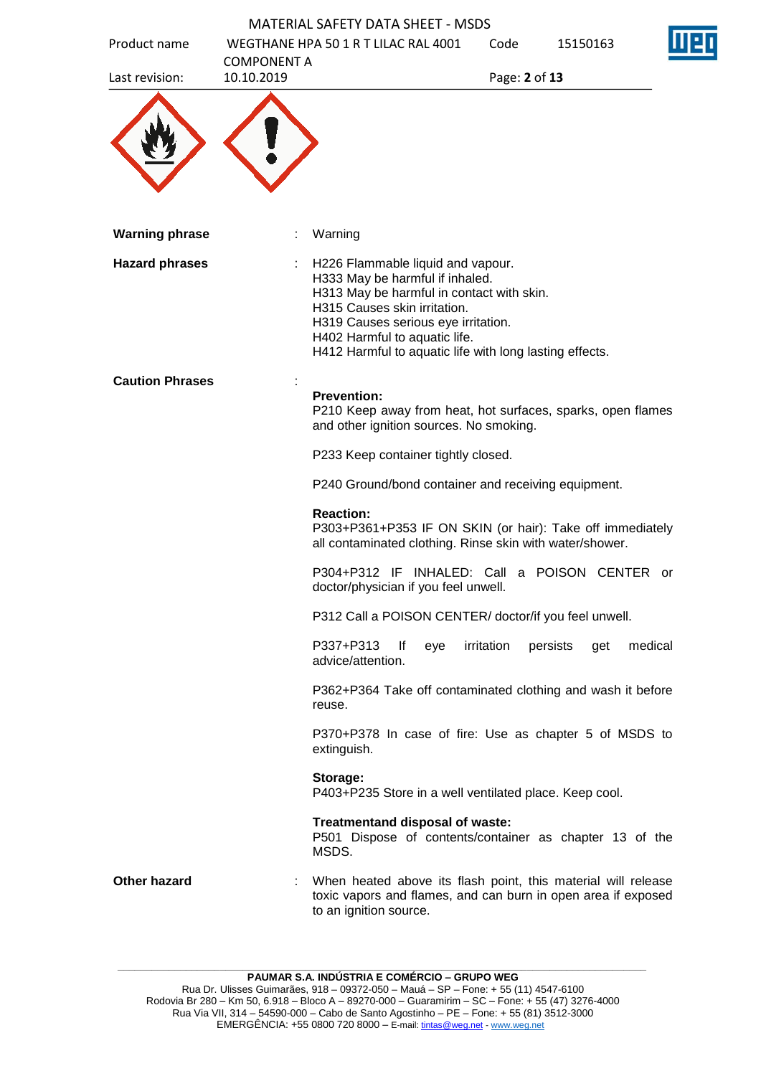|                        |                                  | <b>MATERIAL SAFETY DATA SHEET - MSDS</b>                                                                                                                                                                                                                                             |               |                 |         |
|------------------------|----------------------------------|--------------------------------------------------------------------------------------------------------------------------------------------------------------------------------------------------------------------------------------------------------------------------------------|---------------|-----------------|---------|
| Product name           |                                  | WEGTHANE HPA 50 1 R T LILAC RAL 4001                                                                                                                                                                                                                                                 | Code          | 15150163        |         |
| Last revision:         | <b>COMPONENT A</b><br>10.10.2019 |                                                                                                                                                                                                                                                                                      | Page: 2 of 13 |                 |         |
|                        |                                  |                                                                                                                                                                                                                                                                                      |               |                 |         |
| <b>Warning phrase</b>  |                                  | Warning                                                                                                                                                                                                                                                                              |               |                 |         |
| <b>Hazard phrases</b>  |                                  | H226 Flammable liquid and vapour.<br>H333 May be harmful if inhaled.<br>H313 May be harmful in contact with skin.<br>H315 Causes skin irritation.<br>H319 Causes serious eye irritation.<br>H402 Harmful to aquatic life.<br>H412 Harmful to aquatic life with long lasting effects. |               |                 |         |
| <b>Caution Phrases</b> |                                  |                                                                                                                                                                                                                                                                                      |               |                 |         |
|                        |                                  | <b>Prevention:</b><br>P210 Keep away from heat, hot surfaces, sparks, open flames<br>and other ignition sources. No smoking.                                                                                                                                                         |               |                 |         |
|                        |                                  | P233 Keep container tightly closed.                                                                                                                                                                                                                                                  |               |                 |         |
|                        |                                  | P240 Ground/bond container and receiving equipment.                                                                                                                                                                                                                                  |               |                 |         |
|                        |                                  | <b>Reaction:</b><br>P303+P361+P353 IF ON SKIN (or hair): Take off immediately<br>all contaminated clothing. Rinse skin with water/shower.                                                                                                                                            |               |                 |         |
|                        |                                  | P304+P312 IF INHALED: Call a POISON CENTER or<br>doctor/physician if you feel unwell.                                                                                                                                                                                                |               |                 |         |
|                        |                                  | P312 Call a POISON CENTER/ doctor/if you feel unwell.                                                                                                                                                                                                                                |               |                 |         |
|                        |                                  | P337+P313<br>lf<br>eye<br>advice/attention.                                                                                                                                                                                                                                          | irritation    | persists<br>get | medical |
|                        |                                  | P362+P364 Take off contaminated clothing and wash it before<br>reuse.                                                                                                                                                                                                                |               |                 |         |
|                        |                                  | P370+P378 In case of fire: Use as chapter 5 of MSDS to<br>extinguish.                                                                                                                                                                                                                |               |                 |         |
|                        |                                  | Storage:<br>P403+P235 Store in a well ventilated place. Keep cool.                                                                                                                                                                                                                   |               |                 |         |
|                        |                                  | Treatmentand disposal of waste:<br>P501 Dispose of contents/container as chapter 13 of the<br>MSDS.                                                                                                                                                                                  |               |                 |         |
| Other hazard           |                                  | When heated above its flash point, this material will release<br>toxic vapors and flames, and can burn in open area if exposed<br>to an ignition source.                                                                                                                             |               |                 |         |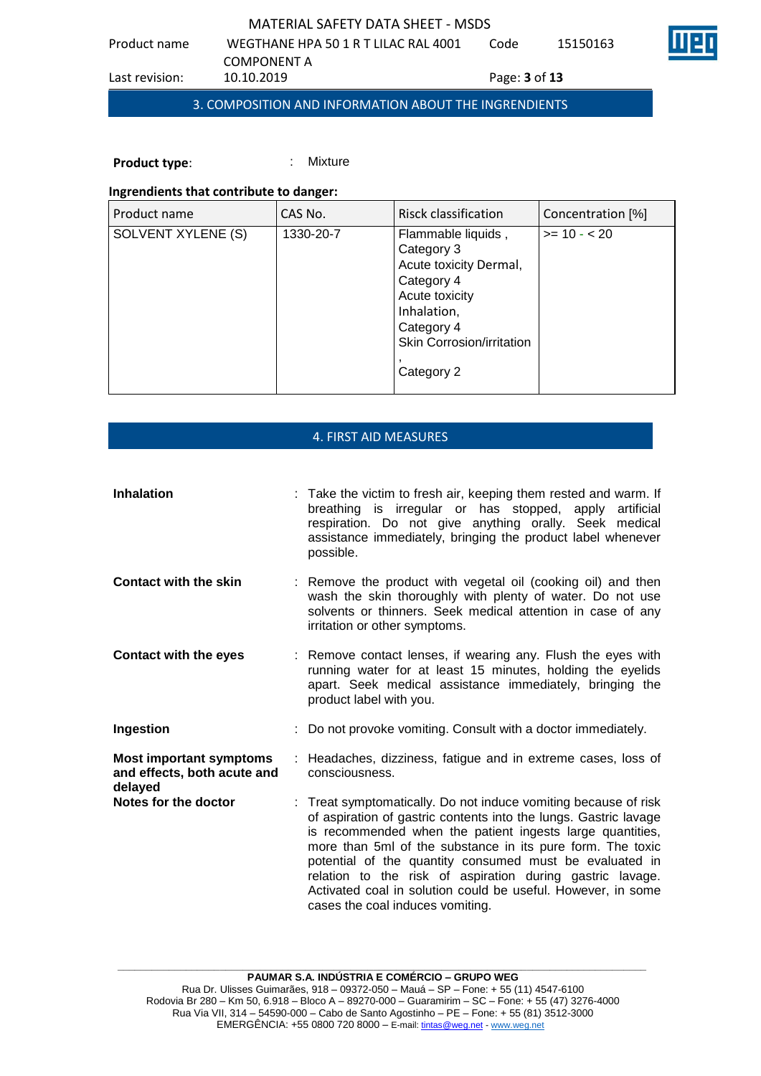Code 15150163

Product name WEGTHANE HPA 50 1 R T LILAC RAL 4001 COMPONENT A<br>10.10.2019 Last revision: 10.10.2019 Page: **3** of **13** 3. COMPOSITION AND INFORMATION ABOUT THE INGRENDIENTS

**Product type:** : : : : : Mixture

# **Ingrendients that contribute to danger:**

| Product name       | CAS No.   | Risck classification                                                                                                                                               | Concentration [%] |
|--------------------|-----------|--------------------------------------------------------------------------------------------------------------------------------------------------------------------|-------------------|
| SOLVENT XYLENE (S) | 1330-20-7 | Flammable liquids,<br>Category 3<br>Acute toxicity Dermal,<br>Category 4<br>Acute toxicity<br>Inhalation,<br>Category 4<br>Skin Corrosion/irritation<br>Category 2 | $>= 10 - 20$      |

## 4. FIRST AID MEASURES

| <b>Inhalation</b>                                                        | : Take the victim to fresh air, keeping them rested and warm. If<br>breathing is irregular or has stopped, apply<br>artificial<br>respiration. Do not give anything orally. Seek medical<br>assistance immediately, bringing the product label whenever<br>possible.                                                                                                                                                                                                                       |
|--------------------------------------------------------------------------|--------------------------------------------------------------------------------------------------------------------------------------------------------------------------------------------------------------------------------------------------------------------------------------------------------------------------------------------------------------------------------------------------------------------------------------------------------------------------------------------|
| <b>Contact with the skin</b>                                             | : Remove the product with vegetal oil (cooking oil) and then<br>wash the skin thoroughly with plenty of water. Do not use<br>solvents or thinners. Seek medical attention in case of any<br>irritation or other symptoms.                                                                                                                                                                                                                                                                  |
| <b>Contact with the eyes</b>                                             | : Remove contact lenses, if wearing any. Flush the eyes with<br>running water for at least 15 minutes, holding the eyelids<br>apart. Seek medical assistance immediately, bringing the<br>product label with you.                                                                                                                                                                                                                                                                          |
| Ingestion                                                                | : Do not provoke vomiting. Consult with a doctor immediately.                                                                                                                                                                                                                                                                                                                                                                                                                              |
| <b>Most important symptoms</b><br>and effects, both acute and<br>delayed | : Headaches, dizziness, fatigue and in extreme cases, loss of<br>consciousness.                                                                                                                                                                                                                                                                                                                                                                                                            |
| Notes for the doctor                                                     | : Treat symptomatically. Do not induce vomiting because of risk<br>of aspiration of gastric contents into the lungs. Gastric lavage<br>is recommended when the patient ingests large quantities,<br>more than 5ml of the substance in its pure form. The toxic<br>potential of the quantity consumed must be evaluated in<br>relation to the risk of aspiration during gastric lavage.<br>Activated coal in solution could be useful. However, in some<br>cases the coal induces vomiting. |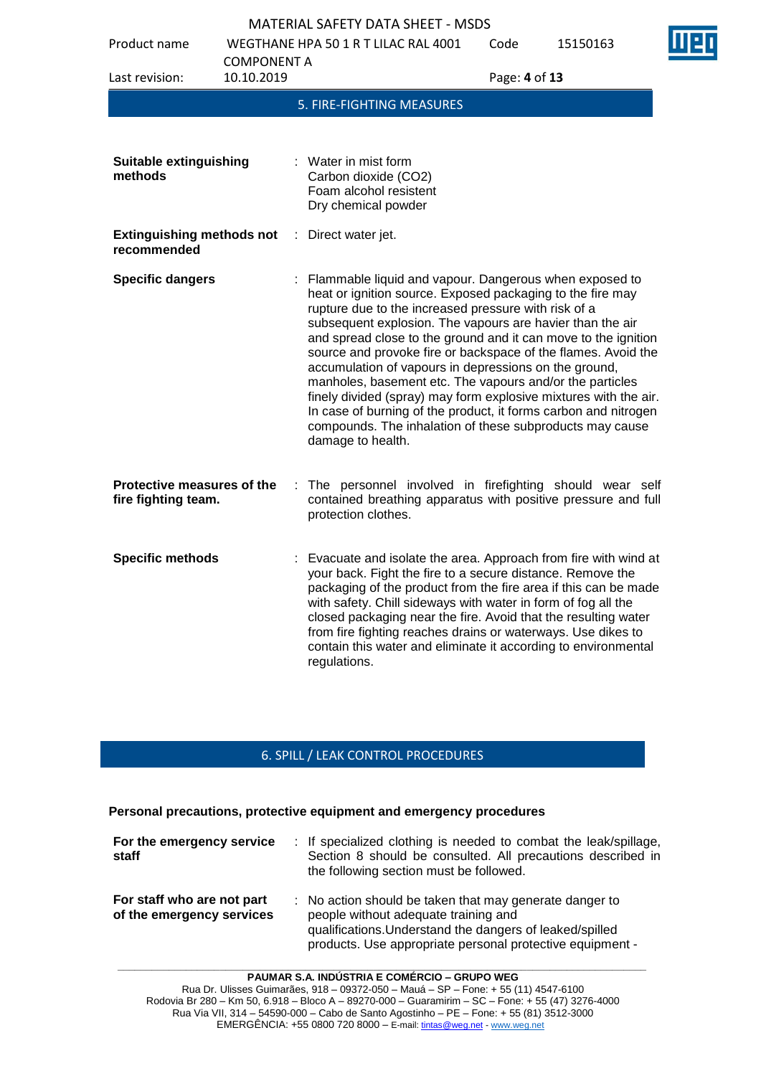Product name WEGTHANE HPA 50 1 R T LILAC RAL 4001

Code 15150163

| Last revision:                                    | <b>COMPONENT A</b><br>10.10.2019 | Page: 4 of 13                                                                                                                                                                                                                                                                                                                                                                                                                                                                                                                                                                                                                                                                                                               |
|---------------------------------------------------|----------------------------------|-----------------------------------------------------------------------------------------------------------------------------------------------------------------------------------------------------------------------------------------------------------------------------------------------------------------------------------------------------------------------------------------------------------------------------------------------------------------------------------------------------------------------------------------------------------------------------------------------------------------------------------------------------------------------------------------------------------------------------|
|                                                   |                                  | 5. FIRE-FIGHTING MEASURES                                                                                                                                                                                                                                                                                                                                                                                                                                                                                                                                                                                                                                                                                                   |
| <b>Suitable extinguishing</b><br>methods          |                                  | : Water in mist form<br>Carbon dioxide (CO2)<br>Foam alcohol resistent<br>Dry chemical powder                                                                                                                                                                                                                                                                                                                                                                                                                                                                                                                                                                                                                               |
| <b>Extinguishing methods not</b><br>recommended   | ÷.                               | Direct water jet.                                                                                                                                                                                                                                                                                                                                                                                                                                                                                                                                                                                                                                                                                                           |
| <b>Specific dangers</b>                           |                                  | : Flammable liquid and vapour. Dangerous when exposed to<br>heat or ignition source. Exposed packaging to the fire may<br>rupture due to the increased pressure with risk of a<br>subsequent explosion. The vapours are havier than the air<br>and spread close to the ground and it can move to the ignition<br>source and provoke fire or backspace of the flames. Avoid the<br>accumulation of vapours in depressions on the ground,<br>manholes, basement etc. The vapours and/or the particles<br>finely divided (spray) may form explosive mixtures with the air.<br>In case of burning of the product, it forms carbon and nitrogen<br>compounds. The inhalation of these subproducts may cause<br>damage to health. |
| Protective measures of the<br>fire fighting team. | ÷.                               | The personnel involved in firefighting should wear self<br>contained breathing apparatus with positive pressure and full<br>protection clothes.                                                                                                                                                                                                                                                                                                                                                                                                                                                                                                                                                                             |
| <b>Specific methods</b>                           |                                  | : Evacuate and isolate the area. Approach from fire with wind at<br>your back. Fight the fire to a secure distance. Remove the<br>packaging of the product from the fire area if this can be made<br>with safety. Chill sideways with water in form of fog all the<br>closed packaging near the fire. Avoid that the resulting water<br>from fire fighting reaches drains or waterways. Use dikes to<br>contain this water and eliminate it according to environmental<br>regulations.                                                                                                                                                                                                                                      |

## 6. SPILL / LEAK CONTROL PROCEDURES

### **Personal precautions, protective equipment and emergency procedures**

| For the emergency service<br>staff                      | : If specialized clothing is needed to combat the leak/spillage,<br>Section 8 should be consulted. All precautions described in<br>the following section must be followed.                                               |
|---------------------------------------------------------|--------------------------------------------------------------------------------------------------------------------------------------------------------------------------------------------------------------------------|
| For staff who are not part<br>of the emergency services | : No action should be taken that may generate danger to<br>people without adequate training and<br>qualifications. Understand the dangers of leaked/spilled<br>products. Use appropriate personal protective equipment - |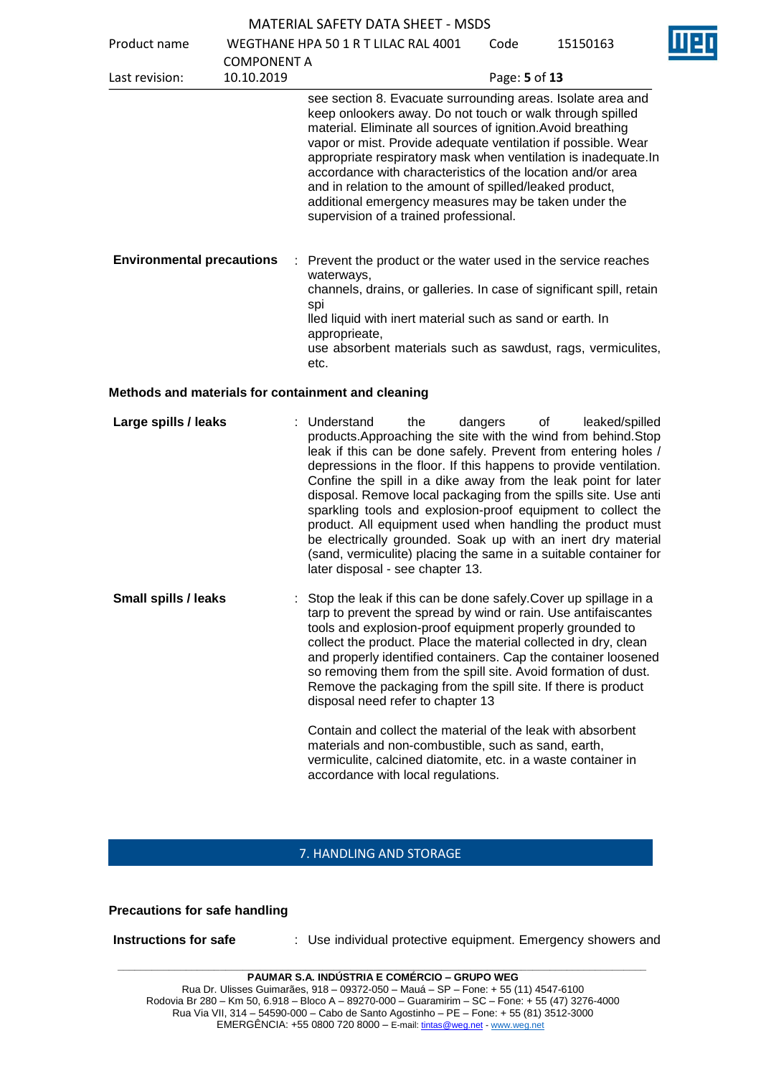| <b>MATERIAL SAFETY DATA SHEET - MSDS</b> |
|------------------------------------------|
|------------------------------------------|

Product name WEGTHANE HPA 50 1 R T LILAC RAL 4001

| Product name                     |                    | WEGTHANE HPA 50 1 R T LILAC RAL 4001                                                                                                                                                                                                                                                                              | Code                                                                                                                                                                                                                                                                                                                                                                                                                                                                                                           | 15150163 |  |
|----------------------------------|--------------------|-------------------------------------------------------------------------------------------------------------------------------------------------------------------------------------------------------------------------------------------------------------------------------------------------------------------|----------------------------------------------------------------------------------------------------------------------------------------------------------------------------------------------------------------------------------------------------------------------------------------------------------------------------------------------------------------------------------------------------------------------------------------------------------------------------------------------------------------|----------|--|
|                                  | <b>COMPONENT A</b> |                                                                                                                                                                                                                                                                                                                   |                                                                                                                                                                                                                                                                                                                                                                                                                                                                                                                |          |  |
| Last revision:                   | 10.10.2019         |                                                                                                                                                                                                                                                                                                                   | Page: 5 of 13                                                                                                                                                                                                                                                                                                                                                                                                                                                                                                  |          |  |
|                                  |                    | supervision of a trained professional.                                                                                                                                                                                                                                                                            | see section 8. Evacuate surrounding areas. Isolate area and<br>keep onlookers away. Do not touch or walk through spilled<br>material. Eliminate all sources of ignition. Avoid breathing<br>vapor or mist. Provide adequate ventilation if possible. Wear<br>appropriate respiratory mask when ventilation is inadequate.In<br>accordance with characteristics of the location and/or area<br>and in relation to the amount of spilled/leaked product,<br>additional emergency measures may be taken under the |          |  |
| <b>Environmental precautions</b> |                    | : Prevent the product or the water used in the service reaches<br>waterways,<br>channels, drains, or galleries. In case of significant spill, retain<br>spi<br>lled liquid with inert material such as sand or earth. In<br>approprieate,<br>use absorbent materials such as sawdust, rags, vermiculites,<br>etc. |                                                                                                                                                                                                                                                                                                                                                                                                                                                                                                                |          |  |

### **Methods and materials for containment and cleaning**

| Large spills / leaks        | : Understand<br>depressions in the floor. If this happens to provide ventilation.<br>disposal. Remove local packaging from the spills site. Use anti<br>later disposal - see chapter 13. | the | dangers | $\circ$ of | leaked/spilled<br>products. Approaching the site with the wind from behind. Stop<br>leak if this can be done safely. Prevent from entering holes /<br>Confine the spill in a dike away from the leak point for later<br>sparkling tools and explosion-proof equipment to collect the<br>product. All equipment used when handling the product must<br>be electrically grounded. Soak up with an inert dry material<br>(sand, vermiculite) placing the same in a suitable container for |
|-----------------------------|------------------------------------------------------------------------------------------------------------------------------------------------------------------------------------------|-----|---------|------------|----------------------------------------------------------------------------------------------------------------------------------------------------------------------------------------------------------------------------------------------------------------------------------------------------------------------------------------------------------------------------------------------------------------------------------------------------------------------------------------|
| <b>Small spills / leaks</b> | : Stop the leak if this can be done safely. Cover up spillage in a<br>tarn to prevent the spread by wind or rain I lse antifaiscantes                                                    |     |         |            |                                                                                                                                                                                                                                                                                                                                                                                                                                                                                        |

to prevent the spread by wind or rain. Use antifaiscantes tools and explosion-proof equipment properly grounded to collect the product. Place the material collected in dry, clean and properly identified containers. Cap the container loosened so removing them from the spill site. Avoid formation of dust. Remove the packaging from the spill site. If there is product disposal need refer to chapter 13

> Contain and collect the material of the leak with absorbent materials and non-combustible, such as sand, earth, vermiculite, calcined diatomite, etc. in a waste container in accordance with local regulations.

#### 7. HANDLING AND STORAGE

#### **Precautions for safe handling**

**Instructions for safe : Use individual protective equipment. Emergency showers and** 

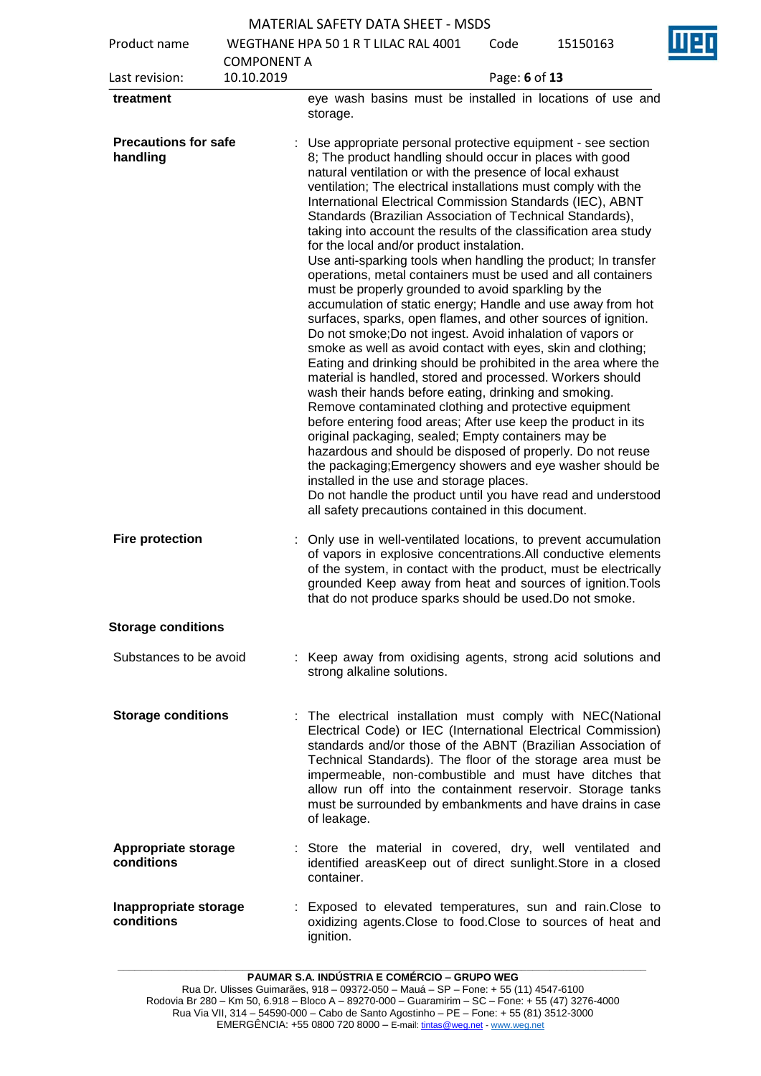| Product name                            |                    | Π<br>WEGTHANE HPA 50 1 R T LILAC RAL 4001<br>Code<br>15150163                                                                                                                                                                                                                                                                                                                                                                                                                                                                                                                                                                                                                                                                                                                                                                                                                                                                                                                                                                                                                                                                                                                                                                                                                                                                                                                                                                                                                                                                                                                                                                  |
|-----------------------------------------|--------------------|--------------------------------------------------------------------------------------------------------------------------------------------------------------------------------------------------------------------------------------------------------------------------------------------------------------------------------------------------------------------------------------------------------------------------------------------------------------------------------------------------------------------------------------------------------------------------------------------------------------------------------------------------------------------------------------------------------------------------------------------------------------------------------------------------------------------------------------------------------------------------------------------------------------------------------------------------------------------------------------------------------------------------------------------------------------------------------------------------------------------------------------------------------------------------------------------------------------------------------------------------------------------------------------------------------------------------------------------------------------------------------------------------------------------------------------------------------------------------------------------------------------------------------------------------------------------------------------------------------------------------------|
|                                         | <b>COMPONENT A</b> |                                                                                                                                                                                                                                                                                                                                                                                                                                                                                                                                                                                                                                                                                                                                                                                                                                                                                                                                                                                                                                                                                                                                                                                                                                                                                                                                                                                                                                                                                                                                                                                                                                |
| Last revision:                          | 10.10.2019         | Page: 6 of 13                                                                                                                                                                                                                                                                                                                                                                                                                                                                                                                                                                                                                                                                                                                                                                                                                                                                                                                                                                                                                                                                                                                                                                                                                                                                                                                                                                                                                                                                                                                                                                                                                  |
| treatment                               |                    | eye wash basins must be installed in locations of use and<br>storage.                                                                                                                                                                                                                                                                                                                                                                                                                                                                                                                                                                                                                                                                                                                                                                                                                                                                                                                                                                                                                                                                                                                                                                                                                                                                                                                                                                                                                                                                                                                                                          |
| <b>Precautions for safe</b><br>handling |                    | Use appropriate personal protective equipment - see section<br>8; The product handling should occur in places with good<br>natural ventilation or with the presence of local exhaust<br>ventilation; The electrical installations must comply with the<br>International Electrical Commission Standards (IEC), ABNT<br>Standards (Brazilian Association of Technical Standards),<br>taking into account the results of the classification area study<br>for the local and/or product instalation.<br>Use anti-sparking tools when handling the product; In transfer<br>operations, metal containers must be used and all containers<br>must be properly grounded to avoid sparkling by the<br>accumulation of static energy; Handle and use away from hot<br>surfaces, sparks, open flames, and other sources of ignition.<br>Do not smoke; Do not ingest. Avoid inhalation of vapors or<br>smoke as well as avoid contact with eyes, skin and clothing;<br>Eating and drinking should be prohibited in the area where the<br>material is handled, stored and processed. Workers should<br>wash their hands before eating, drinking and smoking.<br>Remove contaminated clothing and protective equipment<br>before entering food areas; After use keep the product in its<br>original packaging, sealed; Empty containers may be<br>hazardous and should be disposed of properly. Do not reuse<br>the packaging; Emergency showers and eye washer should be<br>installed in the use and storage places.<br>Do not handle the product until you have read and understood<br>all safety precautions contained in this document. |
| <b>Fire protection</b>                  |                    | Only use in well-ventilated locations, to prevent accumulation<br>of vapors in explosive concentrations.All conductive elements<br>of the system, in contact with the product, must be electrically<br>grounded Keep away from heat and sources of ignition. Tools<br>that do not produce sparks should be used. Do not smoke                                                                                                                                                                                                                                                                                                                                                                                                                                                                                                                                                                                                                                                                                                                                                                                                                                                                                                                                                                                                                                                                                                                                                                                                                                                                                                  |
| <b>Storage conditions</b>               |                    |                                                                                                                                                                                                                                                                                                                                                                                                                                                                                                                                                                                                                                                                                                                                                                                                                                                                                                                                                                                                                                                                                                                                                                                                                                                                                                                                                                                                                                                                                                                                                                                                                                |
| Substances to be avoid                  |                    | : Keep away from oxidising agents, strong acid solutions and<br>strong alkaline solutions.                                                                                                                                                                                                                                                                                                                                                                                                                                                                                                                                                                                                                                                                                                                                                                                                                                                                                                                                                                                                                                                                                                                                                                                                                                                                                                                                                                                                                                                                                                                                     |
| <b>Storage conditions</b>               |                    | The electrical installation must comply with NEC(National<br>Electrical Code) or IEC (International Electrical Commission)<br>standards and/or those of the ABNT (Brazilian Association of<br>Technical Standards). The floor of the storage area must be<br>impermeable, non-combustible and must have ditches that<br>allow run off into the containment reservoir. Storage tanks<br>must be surrounded by embankments and have drains in case<br>of leakage.                                                                                                                                                                                                                                                                                                                                                                                                                                                                                                                                                                                                                                                                                                                                                                                                                                                                                                                                                                                                                                                                                                                                                                |
| Appropriate storage<br>conditions       |                    | : Store the material in covered, dry, well ventilated and<br>identified areasKeep out of direct sunlight. Store in a closed<br>container.                                                                                                                                                                                                                                                                                                                                                                                                                                                                                                                                                                                                                                                                                                                                                                                                                                                                                                                                                                                                                                                                                                                                                                                                                                                                                                                                                                                                                                                                                      |
| Inappropriate storage<br>conditions     |                    | Exposed to elevated temperatures, sun and rain.Close to<br>oxidizing agents. Close to food. Close to sources of heat and<br>ignition.                                                                                                                                                                                                                                                                                                                                                                                                                                                                                                                                                                                                                                                                                                                                                                                                                                                                                                                                                                                                                                                                                                                                                                                                                                                                                                                                                                                                                                                                                          |

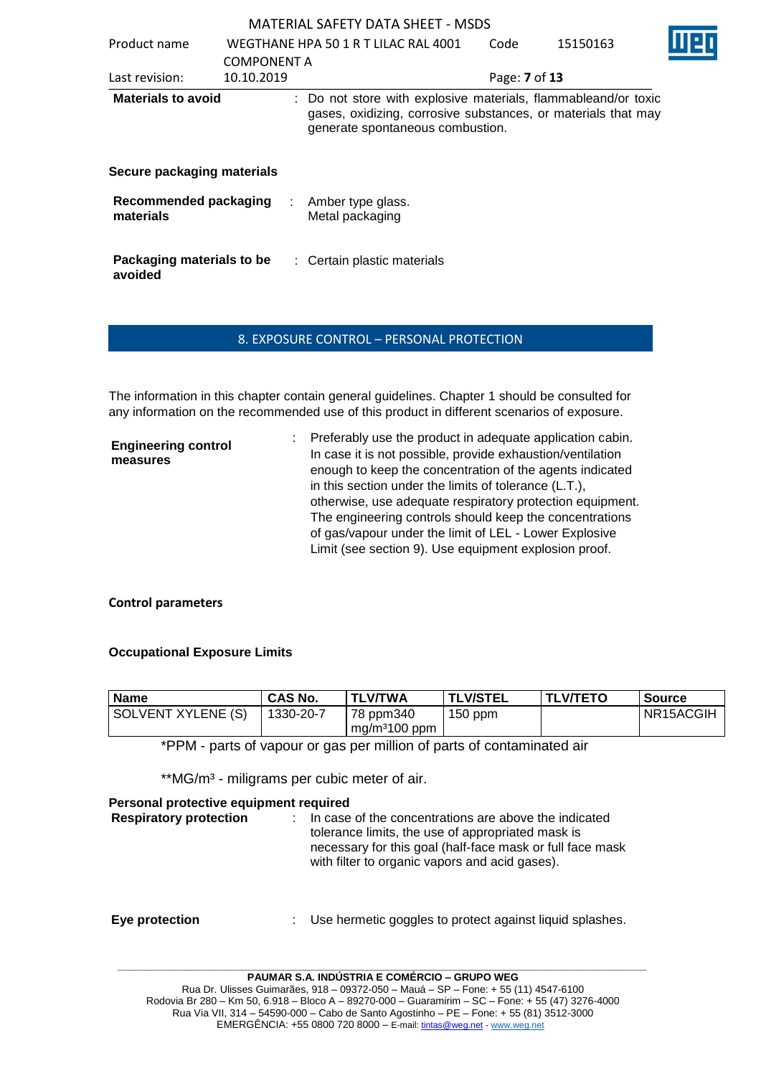| Product name                         | <b>COMPONENT A</b> | WEGTHANE HPA 50 1 R T LILAC RAL 4001                                                                                                                                | Code          | 15150163 |  |
|--------------------------------------|--------------------|---------------------------------------------------------------------------------------------------------------------------------------------------------------------|---------------|----------|--|
| Last revision:                       | 10.10.2019         |                                                                                                                                                                     | Page: 7 of 13 |          |  |
| <b>Materials to avoid</b>            |                    | : Do not store with explosive materials, flammableand/or toxic<br>gases, oxidizing, corrosive substances, or materials that may<br>generate spontaneous combustion. |               |          |  |
| Secure packaging materials           |                    |                                                                                                                                                                     |               |          |  |
| Recommended packaging<br>materials   |                    | Amber type glass.<br>÷<br>Metal packaging                                                                                                                           |               |          |  |
| Packaging materials to be<br>avoided |                    | : Certain plastic materials                                                                                                                                         |               |          |  |

## 8. EXPOSURE CONTROL – PERSONAL PROTECTION

The information in this chapter contain general guidelines. Chapter 1 should be consulted for any information on the recommended use of this product in different scenarios of exposure.

| <b>Engineering control</b><br>measures | : Preferably use the product in adequate application cabin.<br>In case it is not possible, provide exhaustion/ventilation<br>enough to keep the concentration of the agents indicated<br>in this section under the limits of tolerance (L.T.), |
|----------------------------------------|------------------------------------------------------------------------------------------------------------------------------------------------------------------------------------------------------------------------------------------------|
|                                        | otherwise, use adequate respiratory protection equipment.<br>The engineering controls should keep the concentrations                                                                                                                           |
|                                        | of gas/vapour under the limit of LEL - Lower Explosive<br>Limit (see section 9). Use equipment explosion proof.                                                                                                                                |

## **Control parameters**

## **Occupational Exposure Limits**

| <b>Name</b>        | <b>CAS No.</b> | <b>TLV/TWA</b>            | <b>TLV/STEL</b> | <b>TLV/TETO</b> | <b>Source</b> |
|--------------------|----------------|---------------------------|-----------------|-----------------|---------------|
| SOLVENT XYLENE (S) | 1330-20-7      | 78 ppm340                 | $150$ ppm       |                 | NR15ACGIH     |
|                    |                | mg/m <sup>3</sup> 100 ppm |                 |                 |               |

\*PPM - parts of vapour or gas per million of parts of contaminated air

\*\*MG/m<sup>3</sup> - miligrams per cubic meter of air.

| Personal protective equipment required |                                                                                                                                                                                                                           |
|----------------------------------------|---------------------------------------------------------------------------------------------------------------------------------------------------------------------------------------------------------------------------|
| <b>Respiratory protection</b>          | In case of the concentrations are above the indicated<br>tolerance limits, the use of appropriated mask is<br>necessary for this goal (half-face mask or full face mask<br>with filter to organic vapors and acid gases). |
| Eye protection                         | Use hermetic goggles to protect against liquid splashes.                                                                                                                                                                  |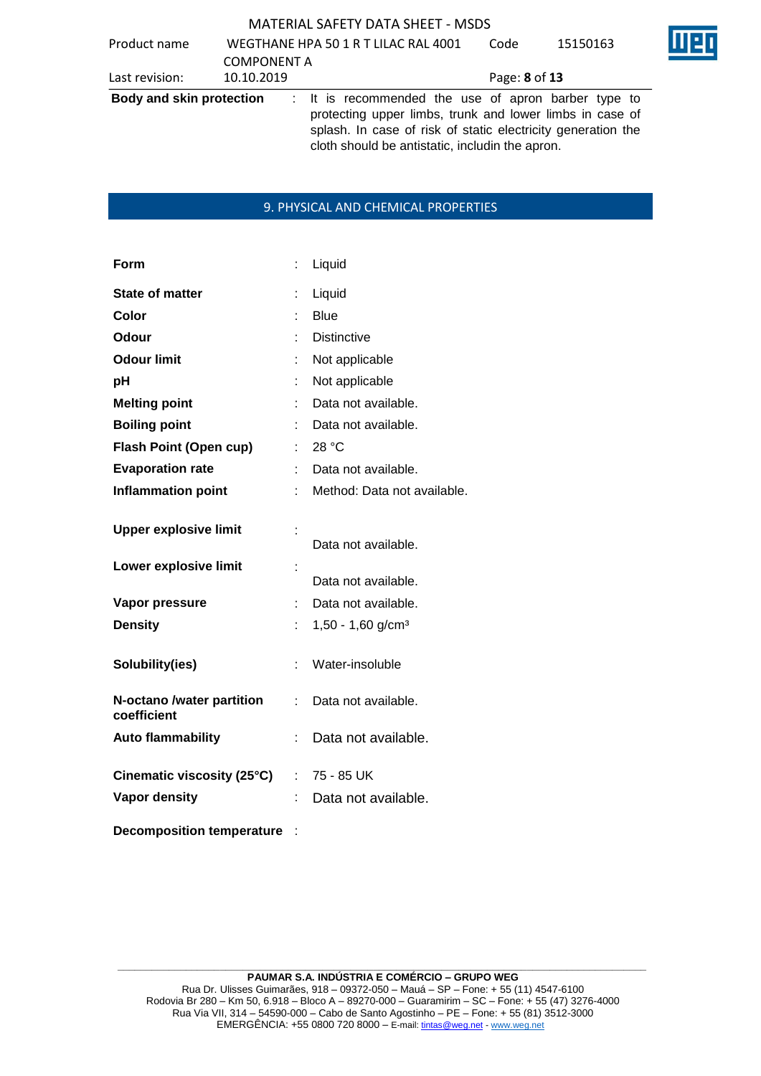| Product name                    | <b>COMPONENT A</b> | WEGTHANE HPA 50 1 R T LILAC RAL 4001                                                                                                                                                                                               | Code          | 15150163 |  |
|---------------------------------|--------------------|------------------------------------------------------------------------------------------------------------------------------------------------------------------------------------------------------------------------------------|---------------|----------|--|
| Last revision:                  | 10.10.2019         |                                                                                                                                                                                                                                    | Page: 8 of 13 |          |  |
| <b>Body and skin protection</b> |                    | : It is recommended the use of apron barber type to<br>protecting upper limbs, trunk and lower limbs in case of<br>splash. In case of risk of static electricity generation the<br>cloth should be antistatic, includin the apron. |               |          |  |

## 9. PHYSICAL AND CHEMICAL PROPERTIES

| Form                                     | t  | Liquid                        |
|------------------------------------------|----|-------------------------------|
| <b>State of matter</b>                   |    | Liquid                        |
| Color                                    |    | <b>Blue</b>                   |
| Odour                                    |    | <b>Distinctive</b>            |
| <b>Odour limit</b>                       |    | Not applicable                |
| рH                                       |    | Not applicable                |
| <b>Melting point</b>                     |    | Data not available.           |
| <b>Boiling point</b>                     |    | Data not available.           |
| <b>Flash Point (Open cup)</b>            |    | 28 °C                         |
| <b>Evaporation rate</b>                  |    | Data not available.           |
| <b>Inflammation point</b>                |    | Method: Data not available.   |
| <b>Upper explosive limit</b>             |    | Data not available.           |
| Lower explosive limit                    |    | Data not available.           |
| Vapor pressure                           |    | Data not available.           |
| <b>Density</b>                           |    | 1,50 - 1,60 g/cm <sup>3</sup> |
| Solubility(ies)                          | t  | Water-insoluble               |
| N-octano /water partition<br>coefficient | t. | Data not available.           |
| <b>Auto flammability</b>                 | İ, | Data not available.           |
| Cinematic viscosity (25°C)               |    | $: 75 - 85$ UK                |
| Vapor density                            |    | Data not available.           |
| <b>Decomposition temperature</b>         |    |                               |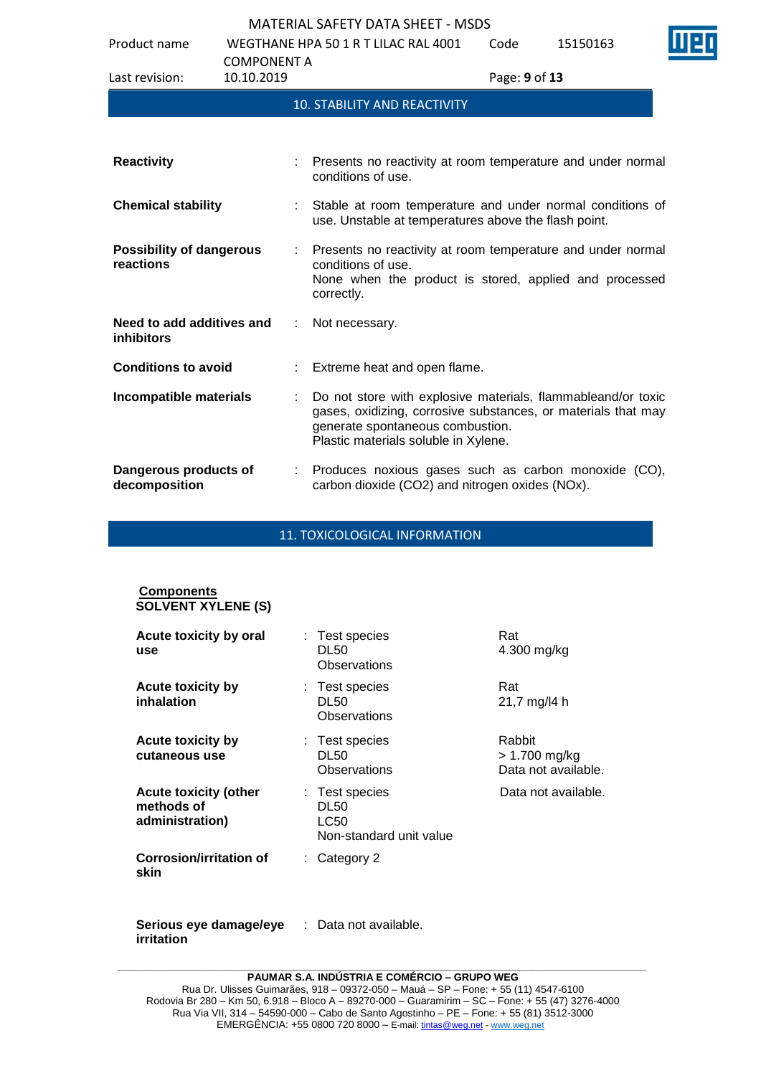Product name WEGTHANE HPA 50 1 R T LILAC RAL 4001

| Product name                                   | <b>COMPONENT A</b> |   | WEGTHANE HPA 50 1 R T LILAC RAL 4001                                                                                                                                                                      | Code          | 15150163 |
|------------------------------------------------|--------------------|---|-----------------------------------------------------------------------------------------------------------------------------------------------------------------------------------------------------------|---------------|----------|
| Last revision:                                 | 10.10.2019         |   |                                                                                                                                                                                                           | Page: 9 of 13 |          |
|                                                |                    |   | <b>10. STABILITY AND REACTIVITY</b>                                                                                                                                                                       |               |          |
|                                                |                    |   |                                                                                                                                                                                                           |               |          |
| <b>Reactivity</b>                              |                    |   | Presents no reactivity at room temperature and under normal<br>conditions of use.                                                                                                                         |               |          |
| <b>Chemical stability</b>                      |                    |   | Stable at room temperature and under normal conditions of<br>use. Unstable at temperatures above the flash point.                                                                                         |               |          |
| <b>Possibility of dangerous</b><br>reactions   |                    |   | Presents no reactivity at room temperature and under normal<br>conditions of use.<br>None when the product is stored, applied and processed<br>correctly.                                                 |               |          |
| Need to add additives and<br><b>inhibitors</b> |                    |   | Not necessary.                                                                                                                                                                                            |               |          |
| <b>Conditions to avoid</b>                     |                    | ÷ | Extreme heat and open flame.                                                                                                                                                                              |               |          |
| Incompatible materials                         |                    |   | Do not store with explosive materials, flammableand/or toxic<br>gases, oxidizing, corrosive substances, or materials that may<br>generate spontaneous combustion.<br>Plastic materials soluble in Xylene. |               |          |
| Dangerous products of<br>decomposition         |                    |   | Produces noxious gases such as carbon monoxide (CO),<br>carbon dioxide (CO2) and nitrogen oxides (NOx).                                                                                                   |               |          |

11. TOXICOLOGICAL INFORMATION

| <b>Components</b><br><b>SOLVENT XYLENE (S)</b>                |                                                                         |                                                |
|---------------------------------------------------------------|-------------------------------------------------------------------------|------------------------------------------------|
| Acute toxicity by oral<br>use                                 | : Test species<br><b>DL50</b><br>Observations                           | Rat<br>4.300 mg/kg                             |
| Acute toxicity by<br>inhalation                               | : Test species<br><b>DL50</b><br>Observations                           | Rat<br>21,7 mg/l4 h                            |
| <b>Acute toxicity by</b><br>cutaneous use                     | : Test species<br><b>DL50</b><br>Observations                           | Rabbit<br>> 1.700 mg/kg<br>Data not available. |
| <b>Acute toxicity (other</b><br>methods of<br>administration) | : Test species<br><b>DL50</b><br><b>LC50</b><br>Non-standard unit value | Data not available.                            |
| Corrosion/irritation of<br>skin                               | $\therefore$ Category 2                                                 |                                                |

**Serious eye damage/eye**  : Data not available.**irritation**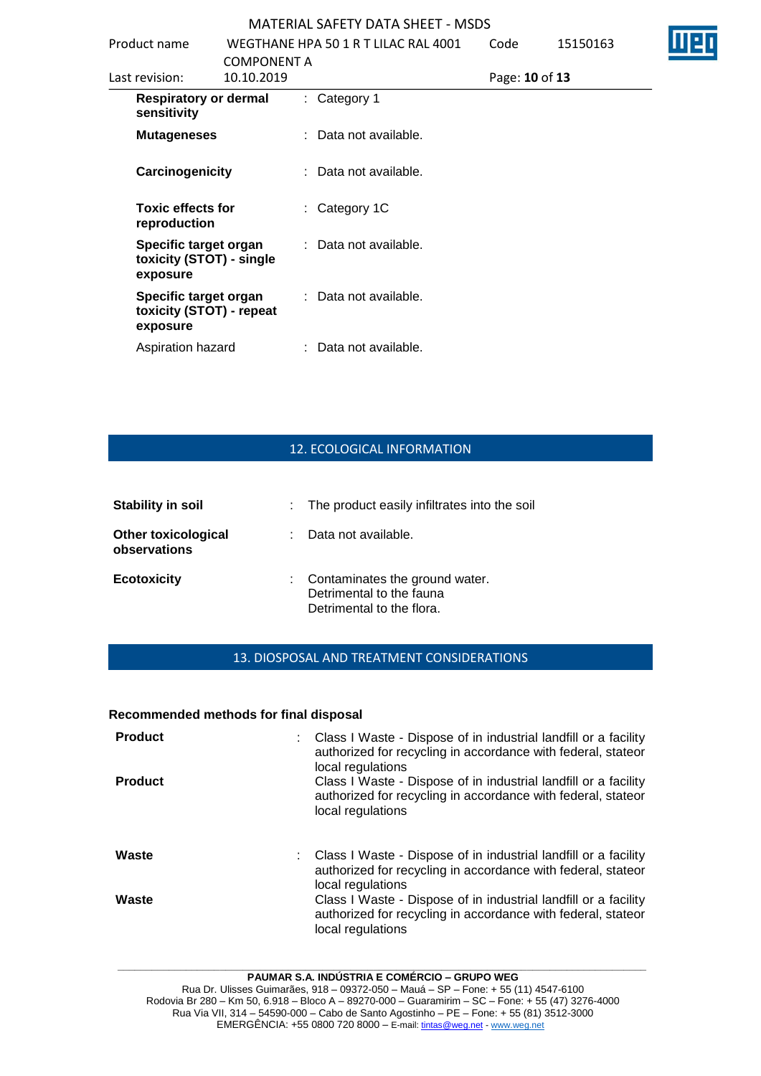| Product name                                                  | <b>COMPONENT A</b> | WEGTHANE HPA 50 1 R T LILAC RAL 4001 | Code           | 15150163 |  |
|---------------------------------------------------------------|--------------------|--------------------------------------|----------------|----------|--|
| Last revision:                                                | 10.10.2019         |                                      | Page: 10 of 13 |          |  |
| <b>Respiratory or dermal</b><br>sensitivity                   |                    | : Category 1                         |                |          |  |
| <b>Mutageneses</b>                                            |                    | : Data not available.                |                |          |  |
| Carcinogenicity                                               |                    | : Data not available.                |                |          |  |
| <b>Toxic effects for</b><br>reproduction                      |                    | $:$ Category 1C                      |                |          |  |
| Specific target organ<br>toxicity (STOT) - single<br>exposure |                    | : Data not available.                |                |          |  |
| Specific target organ<br>toxicity (STOT) - repeat<br>exposure |                    | : Data not available.                |                |          |  |
| Aspiration hazard                                             |                    | : Data not available.                |                |          |  |

# 12. ECOLOGICAL INFORMATION

| <b>Stability in soil</b>                   | : The product easily infiltrates into the soil                                            |
|--------------------------------------------|-------------------------------------------------------------------------------------------|
| <b>Other toxicological</b><br>observations | Data not available.                                                                       |
| <b>Ecotoxicity</b>                         | : Contaminates the ground water.<br>Detrimental to the fauna<br>Detrimental to the flora. |

## 13. DIOSPOSAL AND TREATMENT CONSIDERATIONS

## **Recommended methods for final disposal**

| <b>Product</b><br><b>Product</b> | Class I Waste - Dispose of in industrial landfill or a facility<br>authorized for recycling in accordance with federal, stateor<br>local regulations<br>Class I Waste - Dispose of in industrial landfill or a facility<br>authorized for recycling in accordance with federal, stateor<br>local regulations   |
|----------------------------------|----------------------------------------------------------------------------------------------------------------------------------------------------------------------------------------------------------------------------------------------------------------------------------------------------------------|
| Waste<br>Waste                   | : Class I Waste - Dispose of in industrial landfill or a facility<br>authorized for recycling in accordance with federal, stateor<br>local regulations<br>Class I Waste - Dispose of in industrial landfill or a facility<br>authorized for recycling in accordance with federal, stateor<br>local regulations |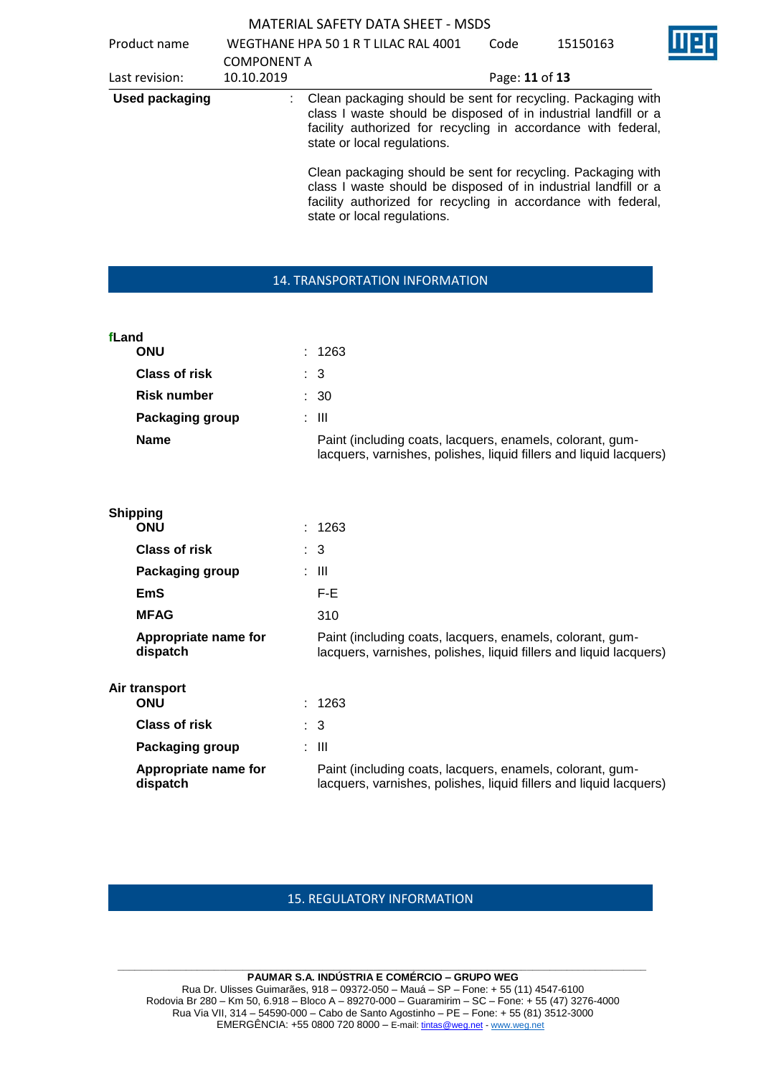|       |                                  |                    | <b>MATERIAL SAFETY DATA SHEET - MSDS</b>                                                                                                                                                                                                                                                        |                |          |  |
|-------|----------------------------------|--------------------|-------------------------------------------------------------------------------------------------------------------------------------------------------------------------------------------------------------------------------------------------------------------------------------------------|----------------|----------|--|
|       | Product name                     |                    | WEGTHANE HPA 50 1 R T LILAC RAL 4001                                                                                                                                                                                                                                                            | Code           | 15150163 |  |
|       |                                  | <b>COMPONENT A</b> |                                                                                                                                                                                                                                                                                                 |                |          |  |
|       | Last revision:                   | 10.10.2019         |                                                                                                                                                                                                                                                                                                 | Page: 11 of 13 |          |  |
|       | <b>Used packaging</b>            |                    | Clean packaging should be sent for recycling. Packaging with<br>class I waste should be disposed of in industrial landfill or a<br>facility authorized for recycling in accordance with federal,<br>state or local regulations.<br>Clean packaging should be sent for recycling. Packaging with |                |          |  |
|       |                                  |                    | class I waste should be disposed of in industrial landfill or a<br>facility authorized for recycling in accordance with federal,<br>state or local regulations.                                                                                                                                 |                |          |  |
|       |                                  |                    | 14. TRANSPORTATION INFORMATION                                                                                                                                                                                                                                                                  |                |          |  |
|       |                                  |                    |                                                                                                                                                                                                                                                                                                 |                |          |  |
|       |                                  |                    |                                                                                                                                                                                                                                                                                                 |                |          |  |
| fLand | <b>ONU</b>                       |                    | 1263                                                                                                                                                                                                                                                                                            |                |          |  |
|       | <b>Class of risk</b>             |                    | $\mathbf{3}$                                                                                                                                                                                                                                                                                    |                |          |  |
|       | <b>Risk number</b>               |                    | : 30                                                                                                                                                                                                                                                                                            |                |          |  |
|       | Packaging group                  |                    | $\therefore$ III                                                                                                                                                                                                                                                                                |                |          |  |
|       | <b>Name</b>                      |                    | Paint (including coats, lacquers, enamels, colorant, gum-<br>lacquers, varnishes, polishes, liquid fillers and liquid lacquers)                                                                                                                                                                 |                |          |  |
|       | <b>Shipping</b>                  |                    |                                                                                                                                                                                                                                                                                                 |                |          |  |
|       | <b>ONU</b>                       |                    | 1263                                                                                                                                                                                                                                                                                            |                |          |  |
|       | <b>Class of risk</b>             |                    | 3                                                                                                                                                                                                                                                                                               |                |          |  |
|       | Packaging group                  |                    | $\therefore$ III                                                                                                                                                                                                                                                                                |                |          |  |
|       | <b>EmS</b>                       |                    | F-E                                                                                                                                                                                                                                                                                             |                |          |  |
|       | <b>MFAG</b>                      |                    | 310                                                                                                                                                                                                                                                                                             |                |          |  |
|       | Appropriate name for<br>dispatch |                    | Paint (including coats, lacquers, enamels, colorant, gum-<br>lacquers, varnishes, polishes, liquid fillers and liquid lacquers)                                                                                                                                                                 |                |          |  |
|       | Air transport<br><b>ONU</b>      |                    | 1263                                                                                                                                                                                                                                                                                            |                |          |  |
|       | <b>Class of risk</b>             |                    | $\therefore$ 3                                                                                                                                                                                                                                                                                  |                |          |  |
|       | Packaging group                  |                    | : III                                                                                                                                                                                                                                                                                           |                |          |  |
|       | Appropriate name for<br>dispatch |                    | Paint (including coats, lacquers, enamels, colorant, gum-<br>lacquers, varnishes, polishes, liquid fillers and liquid lacquers)                                                                                                                                                                 |                |          |  |
|       |                                  |                    |                                                                                                                                                                                                                                                                                                 |                |          |  |

# 15. REGULATORY INFORMATION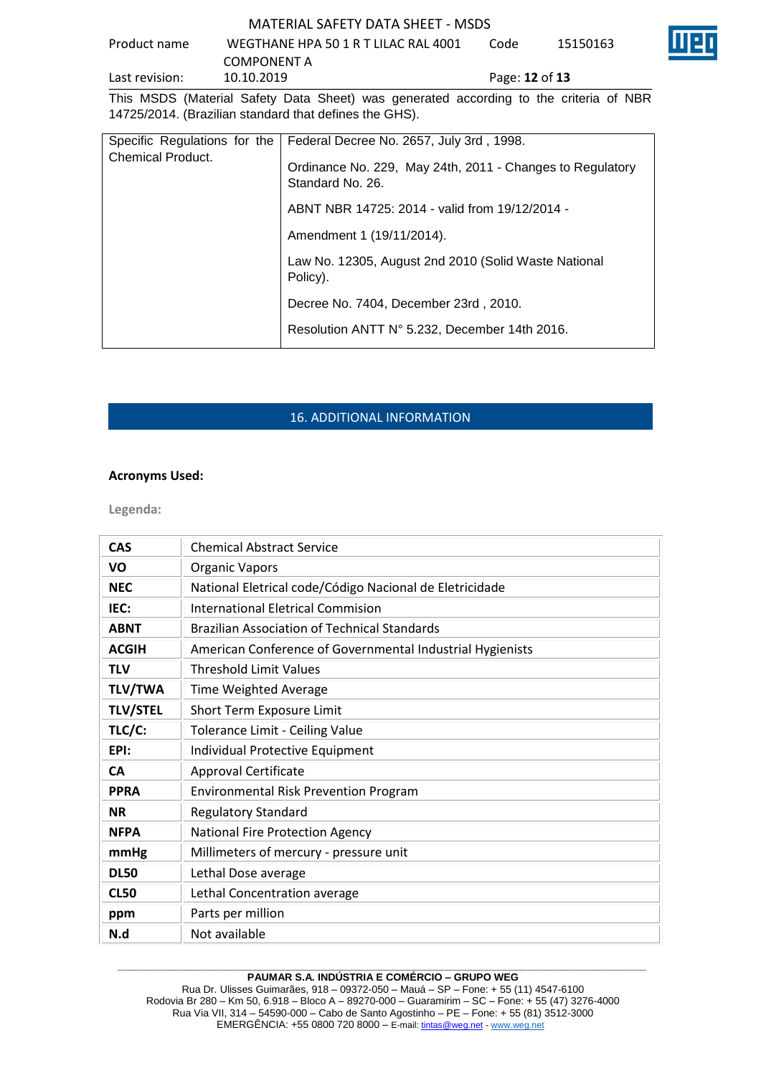# Product name WEGTHANE HPA 50 1 R T LILAC RAL 4001 COMPONENT A<br>10.10.2019 Code 15150163

Last revision: 10.10.2019 Page: **12** of **13**



This MSDS (Material Safety Data Sheet) was generated according to the criteria of NBR 14725/2014. (Brazilian standard that defines the GHS).

| <b>Chemical Product.</b> | Specific Regulations for the   Federal Decree No. 2657, July 3rd, 1998.       |  |
|--------------------------|-------------------------------------------------------------------------------|--|
|                          | Ordinance No. 229, May 24th, 2011 - Changes to Regulatory<br>Standard No. 26. |  |
|                          | ABNT NBR 14725: 2014 - valid from 19/12/2014 -                                |  |
|                          | Amendment 1 (19/11/2014).                                                     |  |
|                          | Law No. 12305, August 2nd 2010 (Solid Waste National<br>Policy).              |  |
|                          | Decree No. 7404, December 23rd, 2010.                                         |  |
|                          | Resolution ANTT N° 5.232, December 14th 2016.                                 |  |

# 16. ADDITIONAL INFORMATION

## **Acronyms Used:**

**Legenda:**

| <b>CAS</b>      | <b>Chemical Abstract Service</b>                          |  |  |  |
|-----------------|-----------------------------------------------------------|--|--|--|
| VO              | <b>Organic Vapors</b>                                     |  |  |  |
| <b>NEC</b>      | National Eletrical code/Código Nacional de Eletricidade   |  |  |  |
| IEC:            | <b>International Eletrical Commision</b>                  |  |  |  |
| <b>ABNT</b>     | <b>Brazilian Association of Technical Standards</b>       |  |  |  |
| <b>ACGIH</b>    | American Conference of Governmental Industrial Hygienists |  |  |  |
| <b>TLV</b>      | <b>Threshold Limit Values</b>                             |  |  |  |
| <b>TLV/TWA</b>  | <b>Time Weighted Average</b>                              |  |  |  |
| <b>TLV/STEL</b> | Short Term Exposure Limit                                 |  |  |  |
| TLC/C:          | Tolerance Limit - Ceiling Value                           |  |  |  |
| EPI:            | Individual Protective Equipment                           |  |  |  |
| <b>CA</b>       | <b>Approval Certificate</b>                               |  |  |  |
| <b>PPRA</b>     | <b>Environmental Risk Prevention Program</b>              |  |  |  |
| <b>NR</b>       | <b>Regulatory Standard</b>                                |  |  |  |
| <b>NFPA</b>     | <b>National Fire Protection Agency</b>                    |  |  |  |
| mmHg            | Millimeters of mercury - pressure unit                    |  |  |  |
| <b>DL50</b>     | Lethal Dose average                                       |  |  |  |
| <b>CL50</b>     | Lethal Concentration average                              |  |  |  |
| ppm             | Parts per million                                         |  |  |  |
| N.d             | Not available                                             |  |  |  |

#### **\_\_\_\_\_\_\_\_\_\_\_\_\_\_\_\_\_\_\_\_\_\_\_\_\_\_\_\_\_\_\_\_\_\_\_\_\_\_\_\_\_\_\_\_\_\_\_\_\_\_\_\_\_\_\_\_\_\_\_\_\_\_\_\_\_\_\_\_\_\_\_\_\_\_\_\_\_\_\_\_\_\_\_\_\_\_\_\_\_\_\_\_\_ PAUMAR S.A. INDÚSTRIA E COMÉRCIO – GRUPO WEG**